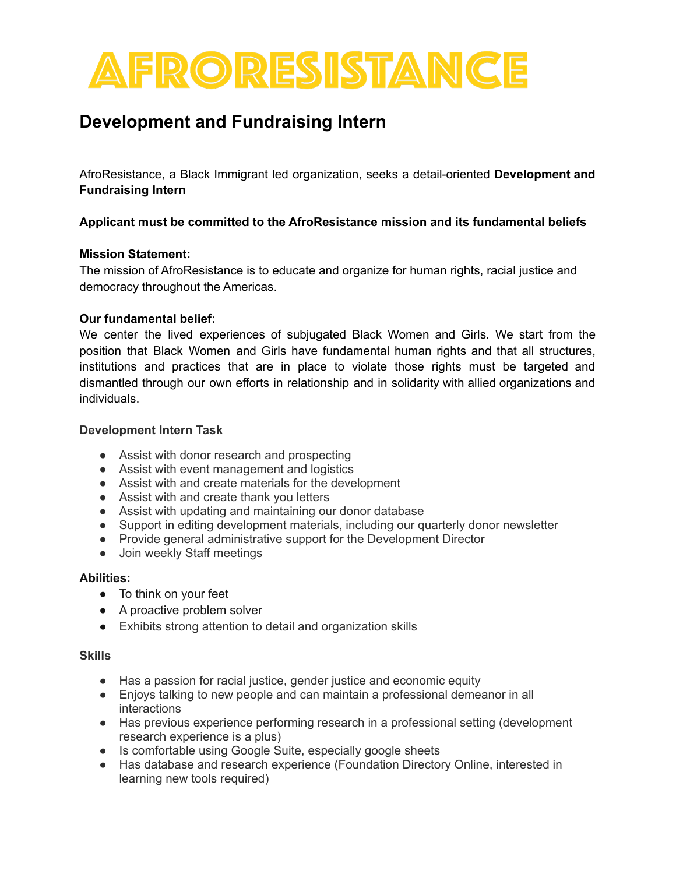# FRORESISTANCE

## **Development and Fundraising Intern**

AfroResistance, a Black Immigrant led organization, seeks a detail-oriented **Development and Fundraising Intern**

### **Applicant must be committed to the AfroResistance mission and its fundamental beliefs**

#### **Mission Statement:**

The mission of AfroResistance is to educate and organize for human rights, racial justice and democracy throughout the Americas.

#### **Our fundamental belief:**

We center the lived experiences of subjugated Black Women and Girls. We start from the position that Black Women and Girls have fundamental human rights and that all structures, institutions and practices that are in place to violate those rights must be targeted and dismantled through our own efforts in relationship and in solidarity with allied organizations and individuals.

#### **Development Intern Task**

- Assist with donor research and prospecting
- Assist with event management and logistics
- Assist with and create materials for the development
- Assist with and create thank you letters
- Assist with updating and maintaining our donor database
- Support in editing development materials, including our quarterly donor newsletter
- Provide general administrative support for the Development Director
- Join weekly Staff meetings

#### **Abilities:**

- To think on your feet
- A proactive problem solver
- Exhibits strong attention to detail and organization skills

#### **Skills**

- Has a passion for racial justice, gender justice and economic equity
- Enjoys talking to new people and can maintain a professional demeanor in all interactions
- Has previous experience performing research in a professional setting (development research experience is a plus)
- Is comfortable using Google Suite, especially google sheets
- Has database and research experience (Foundation Directory Online, interested in learning new tools required)